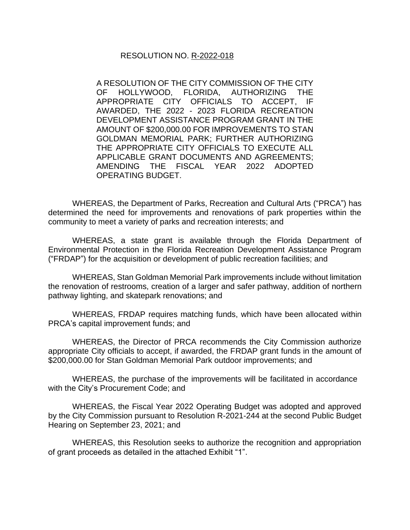## RESOLUTION NO. R-2022-018

A RESOLUTION OF THE CITY COMMISSION OF THE CITY OF HOLLYWOOD, FLORIDA, AUTHORIZING THE APPROPRIATE CITY OFFICIALS TO ACCEPT, IF AWARDED, THE 2022 - 2023 FLORIDA RECREATION DEVELOPMENT ASSISTANCE PROGRAM GRANT IN THE AMOUNT OF \$200,000.00 FOR IMPROVEMENTS TO STAN GOLDMAN MEMORIAL PARK; FURTHER AUTHORIZING THE APPROPRIATE CITY OFFICIALS TO EXECUTE ALL APPLICABLE GRANT DOCUMENTS AND AGREEMENTS; AMENDING THE FISCAL YEAR 2022 ADOPTED OPERATING BUDGET.

WHEREAS, the Department of Parks, Recreation and Cultural Arts ("PRCA") has determined the need for improvements and renovations of park properties within the community to meet a variety of parks and recreation interests; and

WHEREAS, a state grant is available through the Florida Department of Environmental Protection in the Florida Recreation Development Assistance Program ("FRDAP") for the acquisition or development of public recreation facilities; and

WHEREAS, Stan Goldman Memorial Park improvements include without limitation the renovation of restrooms, creation of a larger and safer pathway, addition of northern pathway lighting, and skatepark renovations; and

WHEREAS, FRDAP requires matching funds, which have been allocated within PRCA's capital improvement funds; and

WHEREAS, the Director of PRCA recommends the City Commission authorize appropriate City officials to accept, if awarded, the FRDAP grant funds in the amount of \$200,000.00 for Stan Goldman Memorial Park outdoor improvements; and

WHEREAS, the purchase of the improvements will be facilitated in accordance with the City's Procurement Code; and

WHEREAS, the Fiscal Year 2022 Operating Budget was adopted and approved by the City Commission pursuant to Resolution R-2021-244 at the second Public Budget Hearing on September 23, 2021; and

WHEREAS, this Resolution seeks to authorize the recognition and appropriation of grant proceeds as detailed in the attached Exhibit "1".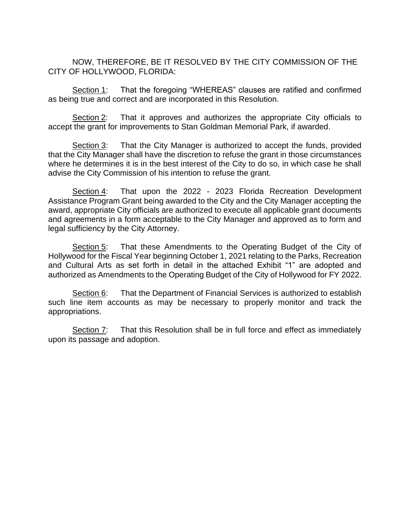NOW, THEREFORE, BE IT RESOLVED BY THE CITY COMMISSION OF THE CITY OF HOLLYWOOD, FLORIDA:

Section 1: That the foregoing "WHEREAS" clauses are ratified and confirmed as being true and correct and are incorporated in this Resolution.

Section 2: That it approves and authorizes the appropriate City officials to accept the grant for improvements to Stan Goldman Memorial Park, if awarded.

Section 3: That the City Manager is authorized to accept the funds, provided that the City Manager shall have the discretion to refuse the grant in those circumstances where he determines it is in the best interest of the City to do so, in which case he shall advise the City Commission of his intention to refuse the grant.

Section 4: That upon the 2022 - 2023 Florida Recreation Development Assistance Program Grant being awarded to the City and the City Manager accepting the award, appropriate City officials are authorized to execute all applicable grant documents and agreements in a form acceptable to the City Manager and approved as to form and legal sufficiency by the City Attorney.

Section 5: That these Amendments to the Operating Budget of the City of Hollywood for the Fiscal Year beginning October 1, 2021 relating to the Parks, Recreation and Cultural Arts as set forth in detail in the attached Exhibit "1" are adopted and authorized as Amendments to the Operating Budget of the City of Hollywood for FY 2022.

Section 6: That the Department of Financial Services is authorized to establish such line item accounts as may be necessary to properly monitor and track the appropriations.

Section 7: That this Resolution shall be in full force and effect as immediately upon its passage and adoption.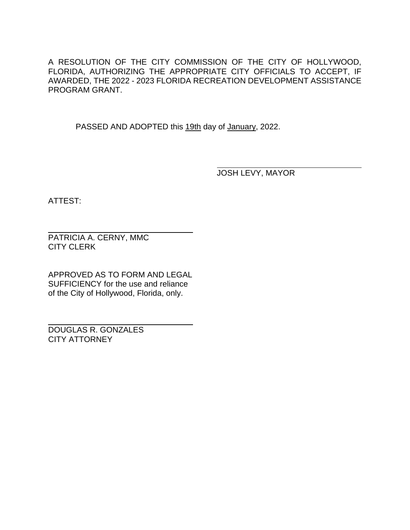A RESOLUTION OF THE CITY COMMISSION OF THE CITY OF HOLLYWOOD, FLORIDA, AUTHORIZING THE APPROPRIATE CITY OFFICIALS TO ACCEPT, IF AWARDED, THE 2022 - 2023 FLORIDA RECREATION DEVELOPMENT ASSISTANCE PROGRAM GRANT.

PASSED AND ADOPTED this 19th day of January, 2022.

JOSH LEVY, MAYOR

ATTEST:

PATRICIA A. CERNY, MMC CITY CLERK

APPROVED AS TO FORM AND LEGAL SUFFICIENCY for the use and reliance of the City of Hollywood, Florida, only.

DOUGLAS R. GONZALES CITY ATTORNEY